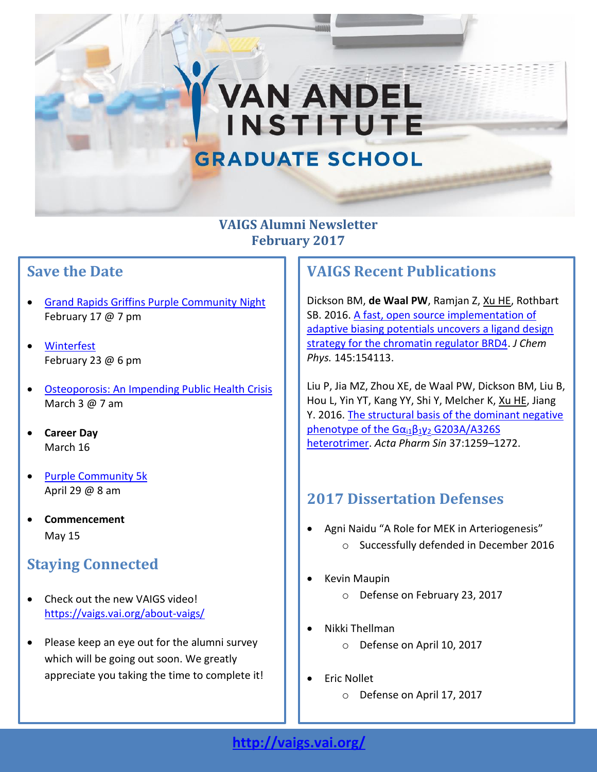# **VAN ANDEL INSTITUTE GRADUATE SCHOOL**

#### **VAIGS Alumni Newsletter February 2017**

## **Save the Date**

- [Grand Rapids Griffins Purple Community Night](http://purplecommunity.vai.org/event/griffins-purple-community-night-17/) February 17 @ 7 pm
- [Winterfest](https://www.vai.org/event/winterfest-celebration/) February 23 @ 6 pm
- [Osteoporosis: An Impending Public Health Crisis](http://osteogr.org/) March 3 @ 7 am
- **Career Day** March 16
- **[Purple Community 5k](http://purplecommunity.vai.org/events/purple-community-5k/)** April 29 @ 8 am
- **Commencement** May 15

## **Staying Connected**

- Check out the new VAIGS video! <https://vaigs.vai.org/about-vaigs/>
- which will be going out soon. We greatly • Please keep an eye out for the alumni survey appreciate you taking the time to complete it!

## **VAIGS Recent Publications**

Dickson BM, **de Waal PW**, Ramjan Z, Xu HE, Rothbart SB. 2016. [A fast, open source implementation of](http://scitation.aip.org/content/aip/journal/jcp/145/15/10.1063/1.4964776)  [adaptive biasing potentials uncovers a ligand design](http://scitation.aip.org/content/aip/journal/jcp/145/15/10.1063/1.4964776)  [strategy for the chromatin regulator BRD4.](http://scitation.aip.org/content/aip/journal/jcp/145/15/10.1063/1.4964776) *J Chem Phys.* 145:154113.

Liu P, Jia MZ, Zhou XE, de Waal PW, Dickson BM, Liu B, Hou L, Yin YT, Kang YY, Shi Y, Melcher K, Xu HE, Jiang Y. 2016. [The structural basis of the dominant negative](http://www.nature.com/aps/journal/v37/n9/full/aps201669a.html)  phenotype of the  $Ga_{11}B_{1}V_2$  G203A/A326S [heterotrimer.](http://www.nature.com/aps/journal/v37/n9/full/aps201669a.html) *Acta Pharm Sin* 37:1259–1272.

#### **2017 Dissertation Defenses**

- Agni Naidu "A Role for MEK in Arteriogenesis" o Successfully defended in December 2016
- Kevin Maupin
	- o Defense on February 23, 2017
- Nikki Thellman
	- o Defense on April 10, 2017
- Eric Nollet
	- o Defense on April 17, 2017